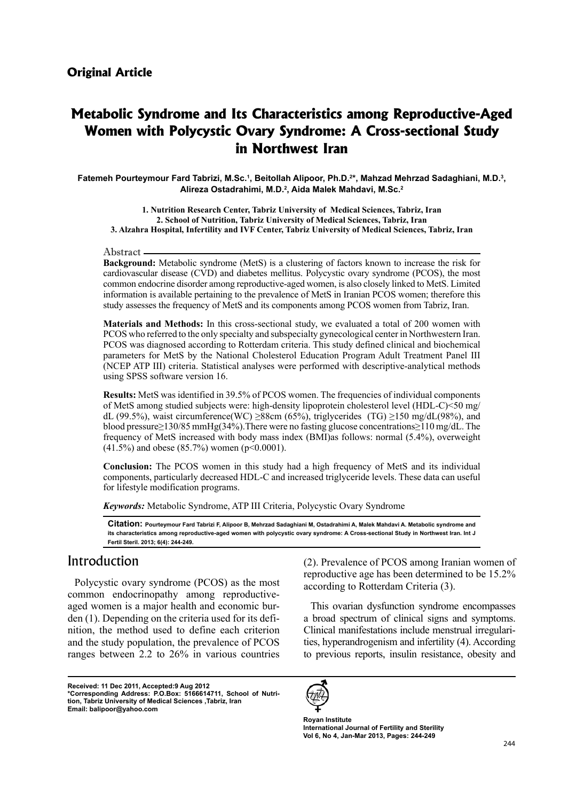# **Metabolic Syndrome and Its Characteristics among Reproductive-Aged Women with Polycystic Ovary Syndrome: A Cross-sectional Study in Northwest Iran**

Fatemeh Pourteymour Fard Tabrizi, M.Sc.<sup>1</sup>, Beitollah Alipoor, Ph.D.<sup>2</sup>\*, Mahzad Mehrzad Sadaghiani, M.D.<sup>3</sup>, Alireza Ostadrahimi, M.D.<sup>2</sup>, Aida Malek Mahdavi, M.Sc.<sup>2</sup>

1. Nutrition Research Center, Tabriz University of Medical Sciences, Tabriz, Iran 2. School of Nutrition, Tabriz University of Medical Sciences, Tabriz, Iran 3. Alzahra Hospital, Infertility and IVF Center, Tabriz University of Medical Sciences, Tabriz, Iran

#### Abstract

**Background:** Metabolic syndrome (MetS) is a clustering of factors known to increase the risk for cardiovascular disease (CVD) and diabetes mellitus. Polycystic ovary syndrome (PCOS), the most common endocrine disorder among reproductive-aged women, is also closely linked to MetS. Limited information is available pertaining to the prevalence of MetS in Iranian PCOS women; therefore this study assesses the frequency of MetS and its components among PCOS women from Tabriz, Iran.

**Materials and Methods:** In this cross-sectional study, we evaluated a total of 200 women with PCOS who referred to the only specialty and subspecialty gynecological center in Northwestern Iran. PCOS was diagnosed according to Rotterdam criteria. This study defined clinical and biochemical parameters for MetS by the National Cholesterol Education Program Adult Treatment Panel III (NCEP ATP III) criteria. Statistical analyses were performed with descriptive-analytical methods using SPSS software version 16.

**Results:** MetS was identified in 39.5% of PCOS women. The frequencies of individual components of MetS among studied subjects were: high-density lipoprotein cholesterol level (HDL-C) $\leq 50$  mg/ dL (99.5%), waist circumference (WC) ≥88cm (65%), triglycerides (TG) ≥150 mg/dL(98%), and blood pressure  $\geq$  130/85 mmHg (34%). There were no fasting glucose concentrations  $\geq$  110 mg/dL. The frequency of MetS increased with body mass index (BMI) as follows: normal  $(5.4\%)$ , overweight  $(41.5\%)$  and obese  $(85.7\%)$  women (p<0.0001).

**Conclusion:** The PCOS women in this study had a high frequency of MetS and its individual components, particularly decreased HDL-C and increased triglyceride levels. These data can useful for lifestyle modification programs.

Keywords: Metabolic Syndrome, ATP III Criteria, Polycystic Ovary Syndrome

Citation: Pourteymour Fard Tabrizi F. Alipoor B, Mehrzad Sadaghiani M, Ostadrahimi A, Malek Mahdavi A. Metabolic syndrome and its characteristics among reproductive-aged women with polycystic ovary syndrome: A Cross-sectional Study in Northwest Iran. Int J Fertil Steril. 2013; 6(4): 244-249.

### Introduction

Polycystic ovary syndrome (PCOS) as the most nition, the method used to define each criterion den  $(1)$ . Depending on the criteria used for its defiaged women is a major health and economic burcommon endocrinopathy among reproductiveand the study population, the prevalence of PCOS ranges between  $2.2$  to  $26\%$  in various countries

**Received: 11 Dec 2011, Accepted:9 Aug 2012** tion, Tabriz University of Medical Sciences ,Tabriz, Iran \*Corresponding Address: P.O.Box: 5166614711, School of Nutri-Email: balipoor@yahoo.com

 $(2)$ . Prevalence of PCOS among Iranian women of reproductive age has been determined to be  $15.2\%$ according to Rotterdam Criteria (3).

This ovarian dysfunction syndrome encompasses a broad spectrum of clinical signs and symptoms. ties, hyperandrogenism and infertility (4). According Clinical manifestations include menstrual irregularito previous reports, insulin resistance, obesity and



**Royan Institute International Journal of Fertility and Sterility** Vol 6, No 4, Jan-Mar 2013, Pages: 244-249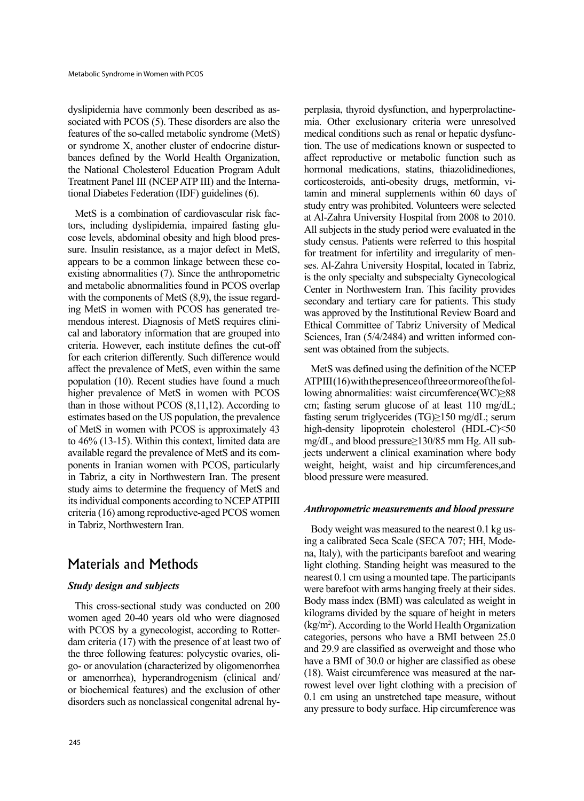sociated with PCOS  $(5)$ . These disorders are also the dyslipidemia have commonly been described as asfeatures of the so-called metabolic syndrome (MetS) bances defined by the World Health Organization, or syndrome X, another cluster of endocrine disturthe National Cholesterol Education Program Adult tional Diabetes Federation (IDF) guidelines (6). Treatment Panel III (NCEP ATP III) and the Interna-

sure. Insulin resistance, as a major defect in MetS, cose levels, abdominal obesity and high blood prestors, including dyslipidemia, impaired fasting glu-MetS is a combination of cardiovascular risk facexisting abnormalities  $(7)$ . Since the anthropometric appears to be a common linkage between these coand metabolic abnormalities found in PCOS overlap cal and laboratory information that are grouped into mendous interest. Diagnosis of MetS requires cliniing MetS in women with PCOS has generated trewith the components of MetS  $(8,9)$ , the issue regardcriteria. However, each institute defines the cut-off for each criterion differently. Such difference would affect the prevalence of MetS, even within the same population (10). Recent studies have found a much higher prevalence of MetS in women with PCOS than in those without PCOS  $(8,11,12)$ . According to estimates based on the US population, the prevalence of MetS in women with PCOS is approximately 43 to  $46\%$  (13-15). Within this context, limited data are ponents in Iranian women with PCOS, particularly available regard the prevalence of MetS and its comin Tabriz, a city in Northwestern Iran. The present study aims to determine the frequency of MetS and its individual components according to NCEP ATPIII  $c$ riteria (16) among reproductive-aged PCOS women in Tabriz, Northwestern Iran.

## Materials and Methods

### *Study design and subjects*

This cross-sectional study was conducted on 200 women aged 20-40 years old who were diagnosed dam criteria  $(17)$  with the presence of at least two of with PCOS by a gynecologist, according to Rottergo- or anovulation (characterized by oligomenorrhea the three following features: polycystic ovaries, olior amenorrhea), hyperandrogenism (clinical and/ or biochemical features) and the exclusion of other disorders such as nonclassical congenital adrenal hy-

perplasia, thyroid dysfunction, and hyperprolactine-<br>mia. Other exclusionary criteria were unresolved e preplasia, thyroid dysfunction, and hyperprolaction and beat confined and the measure of meak comparison and a stend or meak comparison and meak comparison and meak comparison and meak comparison and meak control contr tion. The use of medications known or suspected to medical conditions such as renal or hepatic dysfuncaffect reproductive or metabolic function such as hormonal medications, statins, thiazolidinediones,  $t$ amin and mineral supplements within  $60$  days of corticosteroids, anti-obesity drugs, metformin, vistudy entry was prohibited. Volunteers were selected at Al-Zahra University Hospital from 2008 to 2010. All subjects in the study period were evaluated in the study census. Patients were referred to this hospital ses. Al-Zahra University Hospital, located in Tabriz, for treatment for infertility and irregularity of menis the only specialty and subspecialty Gynecological Center in Northwestern Iran. This facility provides secondary and tertiary care for patients. This study was approved by the Institutional Review Board and Ethical Committee of Tabriz University of Medical Sciences, Iran (5/4/2484) and written informed consent was obtained from the subjects.

MetS was defined using the definition of the NCEP lowing abnormalities: waist circumference  $WC$  $\geq$ 88  $ATPIII(16)$  with the presence of three or more of the folcm; fasting serum glucose of at least  $110 \text{ mg/dL}$ ; fasting serum triglycerides (TG) $\geq$ 150 mg/dL; serum high-density lipoprotein cholesterol (HDL-C)<50 jects underwent a clinical examination where body mg/dL, and blood pressure  $\geq$ 130/85 mm Hg. All subweight, height, waist and hip circumferences, and blood pressure were measured.

#### *Anthropometric measurements and blood pressure*

na, Italy), with the participants barefoot and wearing ing a calibrated Seca Scale (SECA 707; HH, Mode-Body weight was measured to the nearest  $0.1$  kg uslight clothing. Standing height was measured to the nearest 0.1 cm using a mounted tape. The participants were barefoot with arms hanging freely at their sides. Body mass index (BMI) was calculated as weight in kilograms divided by the square of height in meters  $(kg/m<sup>2</sup>)$ . According to the World Health Organization categories, persons who have a BMI between 25.0 and 29.9 are classified as overweight and those who have a BMI of 30.0 or higher are classified as obese rowest level over light clothing with a precision of  $(18)$ . Waist circumference was measured at the nar- $0.1$  cm using an unstretched tape measure, without any pressure to body surface. Hip circumference was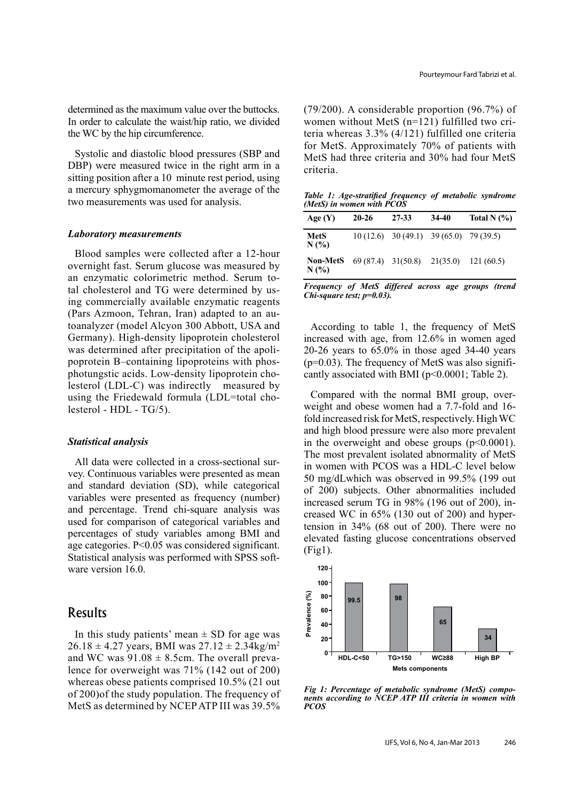determined as the maximum value over the buttocks. In order to calculate the waist/hip ratio, we divided the WC by the hip circumference.

Systolic and diastolic blood pressures (SBP and DBP) were measured twice in the right arm in a sitting position after a 10 minute rest period, using a mercury sphygmomanometer the average of the two measurements was used for analysis.

#### *Laboratory* measurements

Blood samples were collected after a 12-hour overnight fast. Serum glucose was measured by ing commercially available enzymatic reagents tal cholesterol and TG were determined by usan enzymatic colorimetric method. Serum to-(Pars Azmoon, Tehran, Iran) adapted to an au-<br>toanalyzer (model Alcyon 300 Abbott, USA and Germany). High-density lipoprotein cholesterol  $besterol$  (LDL-C) was indirectly measured by photungstic acids. Low-density lipoprotein chopoprotein B-containing lipoproteins with phoswas determined after precipitation of the apoliusing the Friedewald formula (LDL=total cho-<br>lesterol - HDL - TG/5).

#### *Statistical* analysis

vey. Continuous variables were presented as mean All data were collected in a cross-sectional surand standard deviation (SD), while categorical variables were presented as frequency (number) and percentage. Trend chi-square analysis was used for comparison of categorical variables and percentages of study variables among BMI and age categories.  $P<0.05$  was considered significant. Statistical analysis was performed with SPSS soft-<br>ware version 16.0.

### Results

In this study patients' mean  $\pm$  SD for age was  $26.18 \pm 4.27$  years, BMI was  $27.12 \pm 2.34$ kg/m<sup>2</sup> lence for overweight was  $71\%$  (142 out of 200) and WC was  $91.08 \pm 8.5$  cm. The overall prevawhereas obese patients comprised  $10.5\%$  (21 out of  $200$  of the study population. The frequency of MetS as determined by NCEP ATP III was 39.5%

 $(79/200)$ . A considerable proportion  $(96.7%)$  of teria whereas  $3.3\%$  (4/121) fulfilled one criteria women without MetS  $(n=121)$  fulfilled two crifor MetS. Approximately 70% of patients with MetS had three criteria and 30% had four MetS .criteria

*Table 1: Age-stratified frequency of metabolic syndrome (MetS)* in women with PCOS

| Age(Y)                     | $20 - 26$ | 27-33                                       | 34-40 | Total N $(%)$ |
|----------------------------|-----------|---------------------------------------------|-------|---------------|
| <b>MetS</b><br>N(%         |           | $10(12.6)$ $30(49.1)$ $39(65.0)$ $79(39.5)$ |       |               |
| <b>Non-MetS</b><br>$N(\%)$ |           | $69(87.4)$ 31(50.8) 21(35.0)                |       | 121(60.5)     |

*Frequency of MetS differed across age groups (trend Chi-square test; p=0.03).* 

According to table 1, the frequency of MetS increased with age, from  $12.6\%$  in women aged  $20-26$  years to  $65.0\%$  in those aged 34-40 years cantly associated with BMI  $(p< 0.0001$ ; Table 2).  $(p=0.03)$ . The frequency of MetS was also signifi-

weight and obese women had a 7.7-fold and 16-Compared with the normal BMI group, overfold increased risk for MetS, respectively. High WC and high blood pressure were also more prevalent in the overweight and obese groups  $(p<0.0001)$ . The most prevalent isolated abnormality of MetS in women with PCOS was a HDL-C level below  $50 \text{ mg/dLwhich was observed in } 99.5\%$  (199 out of 200) subjects. Other abnormalities included tension in  $34\%$  (68 out of 200). There were no creased WC in  $65\%$  (130 out of 200) and hyperincreased serum TG in 98% (196 out of 200), inelevated fasting glucose concentrations observed  $(Fig1)$ .



*Fig 1: Percentage of metabolic syndrome (MetS) compo-*<br>nents according to NCEP ATP III criteria in women with *PCOS*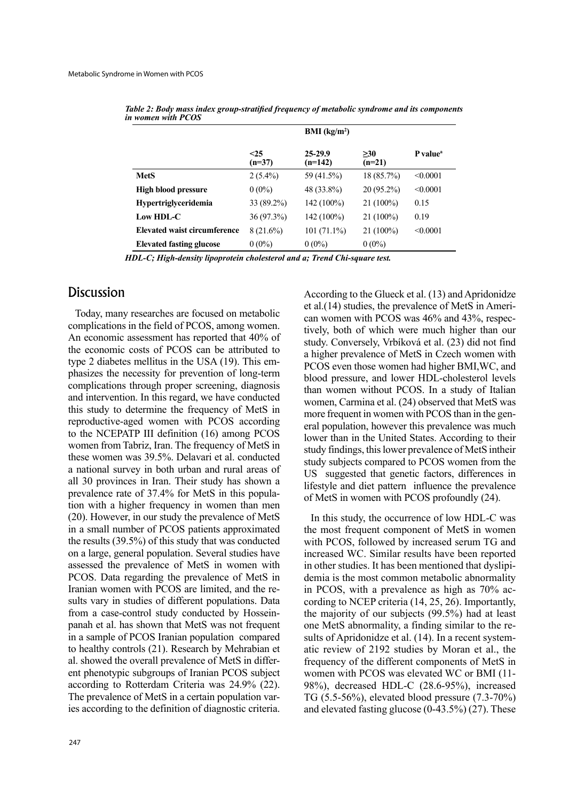|                                     | BMI (kg/m <sup>2</sup> ) |                          |                 |                      |
|-------------------------------------|--------------------------|--------------------------|-----------------|----------------------|
|                                     | $25$<br>$(n=37)$         | $25 - 29.9$<br>$(n=142)$ | >30<br>$(n=21)$ | P value <sup>a</sup> |
| <b>MetS</b>                         | $2(5.4\%)$               | 59 (41.5%)               | 18 (85.7%)      | < 0.0001             |
| <b>High blood pressure</b>          | $0(0\%)$                 | 48 (33.8%)               | $20(95.2\%)$    | < 0.0001             |
| <b>Hypertriglyceridemia</b>         | 33 (89.2%)               | 142 (100%)               | $21(100\%)$     | 0.15                 |
| Low HDL-C                           | 36(97.3%)                | $142(100\%)$             | $21(100\%)$     | 0.19                 |
| <b>Elevated waist circumference</b> | $8(21.6\%)$              | $101(71.1\%)$            | $21(100\%)$     | < 0.0001             |
| <b>Elevated fasting glucose</b>     | $0(0\%)$                 | $0(0\%)$                 | $0(0\%)$        |                      |

*Table 2: Body mass index group-stratified frequency of metabolic syndrome and its components* in women with PCOS

*HDL-C; High-density lipoprotein cholesterol and a; Trend Chi-square test.* 

# **Discussion**

Today, many researches are focused on metabolic complications in the field of PCOS, among women. An economic assessment has reported that 40% of the economic costs of PCOS can be attributed to phasizes the necessity for prevention of long-term type 2 diabetes mellitus in the USA  $(19)$ . This emcomplications through proper screening, diagnosis and intervention. In this regard, we have conducted this study to determine the frequency of MetS in reproductive-aged women with PCOS according to the NCEPATP III definition (16) among PCOS women from Tabriz, Iran. The frequency of MetS in these women was 39.5%. Delavari et al. conducted a national survey in both urban and rural areas of all 30 provinces in Iran. Their study has shown a tion with a higher frequency in women than men prevalence rate of 37.4% for MetS in this popula- $(20)$ . However, in our study the prevalence of MetS in a small number of PCOS patients approximated the results  $(39.5\%)$  of this study that was conducted on a large, general population. Several studies have assessed the prevalence of MetS in women with PCOS. Data regarding the prevalence of MetS in sults vary in studies of different populations. Data Iranian women with PCOS are limited, and the repanah et al. has shown that MetS was not frequent from a case-control study conducted by Hosseinin a sample of PCOS Iranian population compared to healthy controls (21). Research by Mehrabian et ent phenotypic subgroups of Iranian PCOS subject al. showed the overall prevalence of MetS in differaccording to Rotterdam Criteria was  $24.9\%$  (22). ies according to the definition of diagnostic criteria. The prevalence of MetS in a certain population varAccording to the Glueck et al. (13) and Apridonidze tively, both of which were much higher than our can women with PCOS was  $46\%$  and  $43\%$ , respecet al. $(14)$  studies, the prevalence of MetS in Ameristudy. Conversely, Vrbíková et al. (23) did not find a higher prevalence of MetS in Czech women with PCOS even those women had higher BMI, WC, and blood pressure, and lower HDL-cholesterol levels than women without PCOS. In a study of Italian women, Carmina et al. (24) observed that MetS was eral population, however this prevalence was much more frequent in women with PCOS than in the genlower than in the United States. According to their study findings, this lower prevalence of MetS intheir study subjects compared to PCOS women from the US suggested that genetic factors, differences in lifestyle and diet pattern influence the prevalence of MetS in women with PCOS profoundly (24).

In this study, the occurrence of low HDL-C was the most frequent component of MetS in women with PCOS, followed by increased serum TG and increased WC. Similar results have been reported demia is the most common metabolic abnormality in other studies. It has been mentioned that dyslipicording to NCEP criteria  $(14, 25, 26)$ . Importantly, in PCOS, with a prevalence as high as 70% acthe majority of our subjects  $(99.5%)$  had at least atic review of 2192 studies by Moran et al., the sults of Apridonidze et al.  $(14)$ . In a recent systemone MetS abnormality, a finding similar to the refrequency of the different components of MetS in women with PCOS was elevated WC or BMI (11-98%), decreased HDL-C  $(28.6-95%)$ , increased TG  $(5.5-56%)$ , elevated blood pressure  $(7.3-70%)$ and elevated fasting glucose  $(0-43.5\%)$  (27). These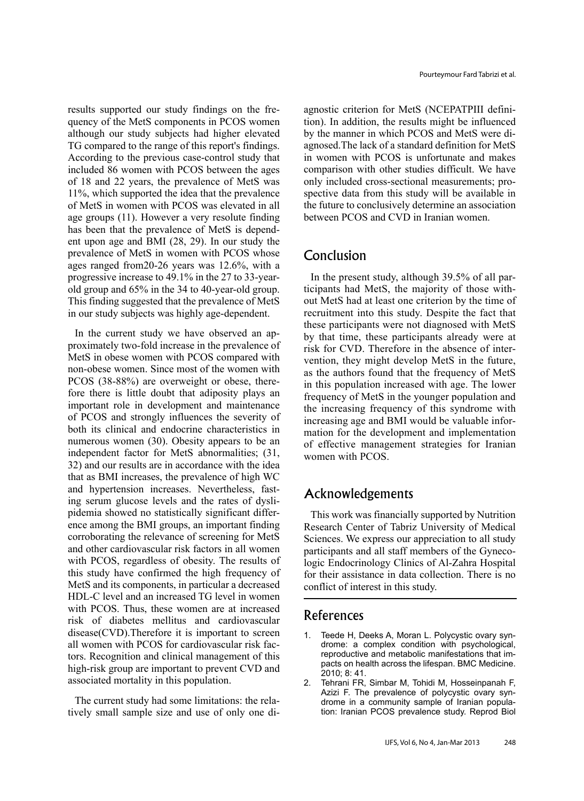quency of the MetS components in PCOS women results supported our study findings on the frealthough our study subjects had higher elevated TG compared to the range of this report's findings. According to the previous case-control study that included 86 women with PCOS between the ages of 18 and 22 years, the prevalence of MetS was  $11\%$ , which supported the idea that the prevalence of MetS in women with PCOS was elevated in all age groups  $(11)$ . However a very resolute finding ent upon age and BMI  $(28, 29)$ . In our study the has been that the prevalence of MetS is dependprevalence of MetS in women with PCOS whose ages ranged from  $20-26$  years was  $12.6\%$ , with a old group and  $65\%$  in the 34 to 40-year-old group. progressive increase to 49.1% in the 27 to 33-year-This finding suggested that the prevalence of MetS in our study subjects was highly age-dependent.

proximately two-fold increase in the prevalence of In the current study we have observed an ap-MetS in obese women with PCOS compared with non-obese women. Since most of the women with fore there is little doubt that adiposity plays an PCOS (38-88%) are overweight or obese, thereimportant role in development and maintenance of PCOS and strongly influences the severity of both its clinical and endocrine characteristics in numerous women  $(30)$ . Obesity appears to be an independent factor for MetS abnormalities; (31, 32) and our results are in accordance with the idea that as BMI increases, the prevalence of high WC ence among the BMI groups, an important finding pidemia showed no statistically significant differing serum glucose levels and the rates of dysliand hypertension increases. Nevertheless, fastcorroborating the relevance of screening for MetS and other cardiovascular risk factors in all women with PCOS, regardless of obesity. The results of this study have confirmed the high frequency of MetS and its components, in particular a decreased HDL-C level and an increased TG level in women with PCOS. Thus, these women are at increased risk of diabetes mellitus and cardiovascular  $disease(CVD)$ . Therefore it is important to screen all women with PCOS for cardiovascular risk factors. Recognition and clinical management of this high-risk group are important to prevent CVD and associated mortality in this population.

tively small sample size and use of only one di-The current study had some limitations: the relaagnostic criterion for MetS (NCEPATPIII definition). In addition, the results might be influenced agnosed. The lack of a standard definition for MetS by the manner in which PCOS and MetS were diin women with PCOS is unfortunate and makes comparison with other studies difficult. We have spective data from this study will be available in only included cross-sectional measurements; prothe future to conclusively determine an association between PCOS and CVD in Iranian women.

### Conclusion

annotic criterion for MetS (NCEFATPIII definion and tion), In addition, the results might be influence by the manner in which PCOS and MetS were di<br>
1. womens with PCOS as unfortunated definition for Mets<br>
2. annotation a out MetS had at least one criterion by the time of ticipants had MetS, the majority of those with-In the present study, although  $39.5\%$  of all parrecruitment into this study. Despite the fact that these participants were not diagnosed with MetS by that time, these participants already were at vention, they might develop MetS in the future, risk for CVD. Therefore in the absence of interas the authors found that the frequency of MetS in this population increased with age. The lower frequency of MetS in the younger population and the increasing frequency of this syndrome with mation for the development and implementation increasing age and BMI would be valuable inforof effective management strategies for Iranian women with PCOS.

## Acknowledgements

This work was financially supported by Nutrition Research Center of Tabriz University of Medical Sciences. We express our appreciation to all study logic Endocrinology Clinics of Al-Zahra Hospital participants and all staff members of the Gynecofor their assistance in data collection. There is no conflict of interest in this study.

### References

- drome: a complex condition with psychological, 1. Teede H, Deeks A, Moran L. Polycystic ovary synpacts on health across the lifespan. BMC Medicine. reproductive and metabolic manifestations that im- $2010$ ; 8: 41.
- 2. Tehrani FR, Simbar M, Tohidi M, Hosseinpanah F, tion: Iranian PCOS prevalence study. Reprod Biol drome in a community sample of Iranian popula-Azizi F. The prevalence of polycystic ovary syn-